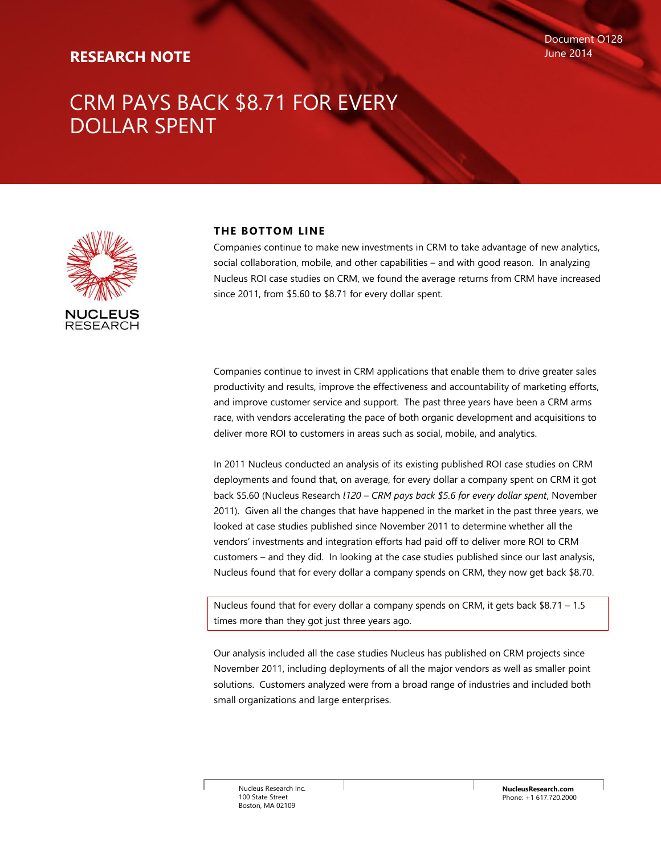# **RESEARCH NOTE**

# CRM PAYS BACK \$8.71 FOR EVERY DOLLAR SPENT



### **THE BOTTOM LINE**

Companies continue to make new investments in CRM to take advantage of new analytics, social collaboration, mobile, and other capabilities – and with good reason. In analyzing Nucleus ROI case studies on CRM, we found the average returns from CRM have increased since 2011, from \$5.60 to \$8.71 for every dollar spent.

Companies continue to invest in CRM applications that enable them to drive greater sales productivity and results, improve the effectiveness and accountability of marketing efforts, and improve customer service and support. The past three years have been a CRM arms race, with vendors accelerating the pace of both organic development and acquisitions to deliver more ROI to customers in areas such as social, mobile, and analytics.

In 2011 Nucleus conducted an analysis of its existing published ROI case studies on CRM deployments and found that, on average, for every dollar a company spent on CRM it got back \$5.60 (Nucleus Research *l120 – CRM pays back \$5.6 for every dollar spent*, November 2011). Given all the changes that have happened in the market in the past three years, we looked at case studies published since November 2011 to determine whether all the vendors' investments and integration efforts had paid off to deliver more ROI to CRM customers – and they did. In looking at the case studies published since our last analysis, Nucleus found that for every dollar a company spends on CRM, they now get back \$8.70.

Nucleus found that for every dollar a company spends on CRM, it gets back \$8.71 – 1.5 times more than they got just three years ago.

Our analysis included all the case studies Nucleus has published on CRM projects since November 2011, including deployments of all the major vendors as well as smaller point solutions. Customers analyzed were from a broad range of industries and included both small organizations and large enterprises.

Nucleus Research Inc. 100 State Street Boston, MA 02109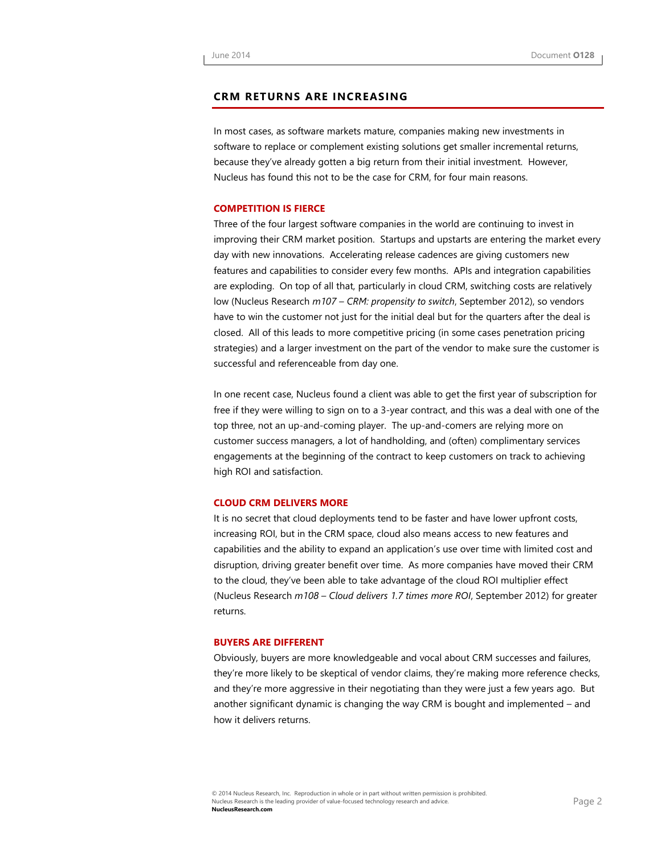#### **CRM RETURNS ARE INCREASING**

In most cases, as software markets mature, companies making new investments in software to replace or complement existing solutions get smaller incremental returns, because they've already gotten a big return from their initial investment. However, Nucleus has found this not to be the case for CRM, for four main reasons.

#### **COMPETITION IS FIERCE**

Three of the four largest software companies in the world are continuing to invest in improving their CRM market position. Startups and upstarts are entering the market every day with new innovations. Accelerating release cadences are giving customers new features and capabilities to consider every few months. APIs and integration capabilities are exploding. On top of all that, particularly in cloud CRM, switching costs are relatively low (Nucleus Research *m107 – CRM: propensity to switch*, September 2012), so vendors have to win the customer not just for the initial deal but for the quarters after the deal is closed. All of this leads to more competitive pricing (in some cases penetration pricing strategies) and a larger investment on the part of the vendor to make sure the customer is successful and referenceable from day one.

In one recent case, Nucleus found a client was able to get the first year of subscription for free if they were willing to sign on to a 3-year contract, and this was a deal with one of the top three, not an up-and-coming player. The up-and-comers are relying more on customer success managers, a lot of handholding, and (often) complimentary services engagements at the beginning of the contract to keep customers on track to achieving high ROI and satisfaction.

#### **CLOUD CRM DELIVERS MORE**

It is no secret that cloud deployments tend to be faster and have lower upfront costs, increasing ROI, but in the CRM space, cloud also means access to new features and capabilities and the ability to expand an application's use over time with limited cost and disruption, driving greater benefit over time. As more companies have moved their CRM to the cloud, they've been able to take advantage of the cloud ROI multiplier effect (Nucleus Research *m108 – Cloud delivers 1.7 times more ROI*, September 2012) for greater returns.

#### **BUYERS ARE DIFFERENT**

Obviously, buyers are more knowledgeable and vocal about CRM successes and failures, they're more likely to be skeptical of vendor claims, they're making more reference checks, and they're more aggressive in their negotiating than they were just a few years ago. But another significant dynamic is changing the way CRM is bought and implemented – and how it delivers returns.